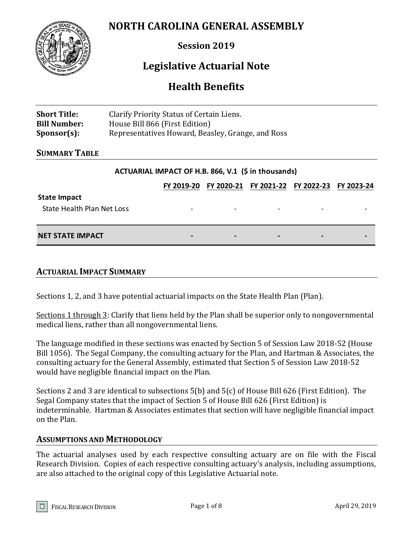## **NORTH CAROLINA GENERAL ASSEMBLY**



**Session 2019**

## **Legislative Actuarial Note**

## **Health Benefits**

| <b>Short Title:</b> | Clarify Priority Status of Certain Liens.         |
|---------------------|---------------------------------------------------|
| <b>Bill Number:</b> | House Bill 866 (First Edition)                    |
| $Sponsor(s)$ :      | Representatives Howard, Beasley, Grange, and Ross |

## **SUMMARY TABLE**

#### **ACTUARIAL IMPACT OF H.B. 866, V.1 (\$ in thousands)**

|                            |                          |                          |                          | FY 2019-20 FY 2020-21 FY 2021-22 FY 2022-23 FY 2023-24 |  |
|----------------------------|--------------------------|--------------------------|--------------------------|--------------------------------------------------------|--|
| <b>State Impact</b>        |                          |                          |                          |                                                        |  |
| State Health Plan Net Loss | $\overline{\phantom{a}}$ |                          | $\overline{\phantom{0}}$ |                                                        |  |
| <b>NET STATE IMPACT</b>    | $\overline{\phantom{0}}$ | $\overline{\phantom{0}}$ | $\overline{\phantom{0}}$ | $\overline{\phantom{0}}$                               |  |

## **ACTUARIAL IMPACT SUMMARY**

Sections 1, 2, and 3 have potential actuarial impacts on the State Health Plan (Plan).

Sections 1 through 3: Clarify that liens held by the Plan shall be superior only to nongovernmental medical liens, rather than all nongovernmental liens.

The language modified in these sections was enacted by Section 5 of Session Law 2018-52 (House Bill 1056). The Segal Company, the consulting actuary for the Plan, and Hartman & Associates, the consulting actuary for the General Assembly, estimated that Section 5 of Session Law 2018-52 would have negligible financial impact on the Plan.

Sections 2 and 3 are identical to subsections 5(b) and 5(c) of House Bill 626 (First Edition). The Segal Company states that the impact of Section 5 of House Bill 626 (First Edition) is indeterminable. Hartman & Associates estimates that section will have negligible financial impact on the Plan.

## **ASSUMPTIONS AND METHODOLOGY**

The actuarial analyses used by each respective consulting actuary are on file with the Fiscal Research Division. Copies of each respective consulting actuary's analysis, including assumptions, are also attached to the original copy of this Legislative Actuarial note.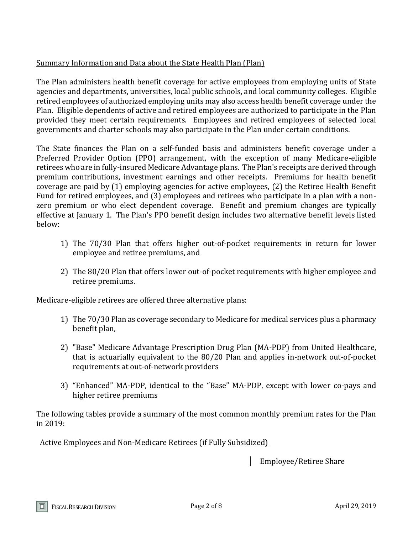## Summary Information and Data about the State Health Plan (Plan)

The Plan administers health benefit coverage for active employees from employing units of State agencies and departments, universities, local public schools, and local community colleges. Eligible retired employees of authorized employing units may also access health benefit coverage under the Plan. Eligible dependents of active and retired employees are authorized to participate in the Plan provided they meet certain requirements. Employees and retired employees of selected local governments and charter schools may also participate in the Plan under certain conditions.

The State finances the Plan on a self-funded basis and administers benefit coverage under a Preferred Provider Option (PPO) arrangement, with the exception of many Medicare-eligible retirees who are in fully-insured Medicare Advantage plans. The Plan's receipts are derived through premium contributions, investment earnings and other receipts. Premiums for health benefit coverage are paid by (1) employing agencies for active employees, (2) the Retiree Health Benefit Fund for retired employees, and (3) employees and retirees who participate in a plan with a nonzero premium or who elect dependent coverage. Benefit and premium changes are typically effective at January 1. The Plan's PPO benefit design includes two alternative benefit levels listed below:

- 1) The 70/30 Plan that offers higher out-of-pocket requirements in return for lower employee and retiree premiums, and
- 2) The 80/20 Plan that offers lower out-of-pocket requirements with higher employee and retiree premiums.

Medicare-eligible retirees are offered three alternative plans:

- 1) The 70/30 Plan as coverage secondary to Medicare for medical services plus a pharmacy benefit plan,
- 2) "Base" Medicare Advantage Prescription Drug Plan (MA-PDP) from United Healthcare, that is actuarially equivalent to the 80/20 Plan and applies in-network out-of-pocket requirements at out-of-network providers
- 3) "Enhanced" MA-PDP, identical to the "Base" MA-PDP, except with lower co-pays and higher retiree premiums

The following tables provide a summary of the most common monthly premium rates for the Plan in 2019:

Active Employees and Non-Medicare Retirees (if Fully Subsidized)

Employee/Retiree Share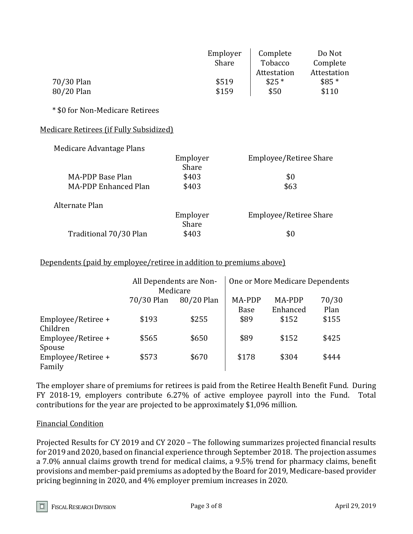|                                         | Employer<br>Share | Complete<br>Tobacco<br>Attestation | Do Not<br>Complete<br>Attestation |
|-----------------------------------------|-------------------|------------------------------------|-----------------------------------|
| 70/30 Plan                              | \$519             | $$25*$                             | $$85*$                            |
| 80/20 Plan                              | \$159             | \$50                               | \$110                             |
|                                         |                   |                                    |                                   |
| * \$0 for Non-Medicare Retirees         |                   |                                    |                                   |
| Medicare Retirees (if Fully Subsidized) |                   |                                    |                                   |
| Medicare Advantage Plans                |                   |                                    |                                   |
|                                         | Employer<br>Share | Employee/Retiree Share             |                                   |
| <b>MA-PDP Base Plan</b>                 | \$403             | \$0                                |                                   |
| <b>MA-PDP Enhanced Plan</b>             | \$403             | \$63                               |                                   |
| Alternate Plan                          |                   |                                    |                                   |
|                                         | Employer          | Employee/Retiree Share             |                                   |
|                                         | Share             |                                    |                                   |
| Traditional 70/30 Plan                  | \$403             | \$0                                |                                   |

#### Dependents (paid by employee/retiree in addition to premiums above)

|                                |            | All Dependents are Non-<br>Medicare |                       | One or More Medicare Dependents |               |
|--------------------------------|------------|-------------------------------------|-----------------------|---------------------------------|---------------|
|                                | 70/30 Plan | 80/20 Plan                          | MA-PDP<br><b>Base</b> | MA-PDP<br>Enhanced              | 70/30<br>Plan |
| Employee/Retiree +<br>Children | \$193      | \$255                               | \$89                  | \$152                           | \$155         |
| Employee/Retiree +<br>Spouse   | \$565      | \$650                               | \$89                  | \$152                           | \$425         |
| Employee/Retiree +<br>Family   | \$573      | \$670                               | \$178                 | \$304                           | \$444         |

The employer share of premiums for retirees is paid from the Retiree Health Benefit Fund. During FY 2018-19, employers contribute 6.27% of active employee payroll into the Fund. Total contributions for the year are projected to be approximately \$1,096 million.

#### Financial Condition

Projected Results for CY 2019 and CY 2020 – The following summarizes projected financial results for 2019 and 2020, based on financial experience through September 2018. The projection assumes a 7.0% annual claims growth trend for medical claims, a 9.5% trend for pharmacy claims, benefit provisions and member-paid premiums as adopted by the Board for 2019, Medicare-based provider pricing beginning in 2020, and 4% employer premium increases in 2020.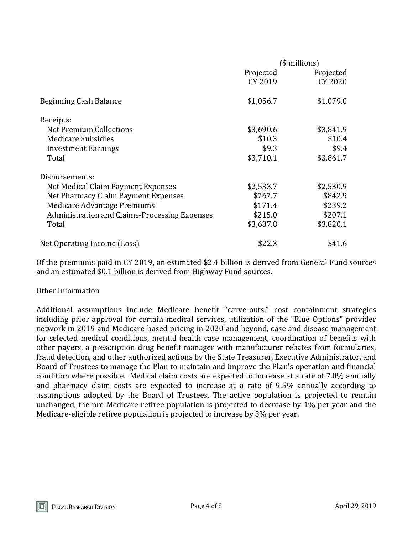|                                               | $($$ millions) |           |
|-----------------------------------------------|----------------|-----------|
|                                               | Projected      | Projected |
|                                               | CY 2019        | CY 2020   |
| Beginning Cash Balance                        | \$1,056.7      | \$1,079.0 |
| Receipts:                                     |                |           |
| Net Premium Collections                       | \$3,690.6      | \$3,841.9 |
| <b>Medicare Subsidies</b>                     | \$10.3         | \$10.4    |
| <b>Investment Earnings</b>                    | \$9.3          | \$9.4     |
| Total                                         | \$3,710.1      | \$3,861.7 |
| Disbursements:                                |                |           |
| Net Medical Claim Payment Expenses            | \$2,533.7      | \$2,530.9 |
| Net Pharmacy Claim Payment Expenses           | \$767.7        | \$842.9   |
| Medicare Advantage Premiums                   | \$171.4        | \$239.2   |
| Administration and Claims-Processing Expenses | \$215.0        | \$207.1   |
| Total                                         | \$3,687.8      | \$3,820.1 |
| Net Operating Income (Loss)                   | \$22.3         | \$41.6    |

Of the premiums paid in CY 2019, an estimated \$2.4 billion is derived from General Fund sources and an estimated \$0.1 billion is derived from Highway Fund sources.

#### Other Information

Additional assumptions include Medicare benefit "carve-outs," cost containment strategies including prior approval for certain medical services, utilization of the "Blue Options" provider network in 2019 and Medicare-based pricing in 2020 and beyond, case and disease management for selected medical conditions, mental health case management, coordination of benefits with other payers, a prescription drug benefit manager with manufacturer rebates from formularies, fraud detection, and other authorized actions by the State Treasurer, Executive Administrator, and Board of Trustees to manage the Plan to maintain and improve the Plan's operation and financial condition where possible. Medical claim costs are expected to increase at a rate of 7.0% annually and pharmacy claim costs are expected to increase at a rate of 9.5% annually according to assumptions adopted by the Board of Trustees. The active population is projected to remain unchanged, the pre-Medicare retiree population is projected to decrease by 1% per year and the Medicare-eligible retiree population is projected to increase by 3% per year.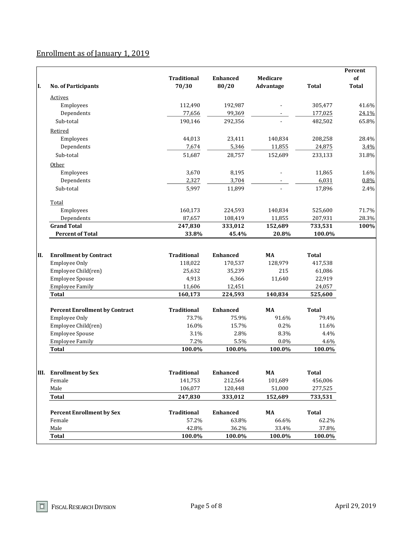# Enrollment as of January 1, 2019

|    |                                                                       |                            |                            |                          |                             | Percent      |
|----|-----------------------------------------------------------------------|----------------------------|----------------------------|--------------------------|-----------------------------|--------------|
|    |                                                                       | <b>Traditional</b>         | <b>Enhanced</b>            | Medicare                 |                             | of           |
| I. | <b>No. of Participants</b>                                            | 70/30                      | 80/20                      | Advantage                | <b>Total</b>                | <b>Total</b> |
|    | <b>Actives</b>                                                        |                            |                            |                          |                             |              |
|    | Employees                                                             | 112,490                    | 192,987                    |                          | 305,477                     | 41.6%        |
|    | Dependents                                                            | 77,656                     | 99,369                     |                          | 177,025                     | 24.1%        |
|    | Sub-total                                                             | 190,146                    | 292,356                    |                          | 482,502                     | 65.8%        |
|    | Retired                                                               |                            |                            |                          |                             |              |
|    | Employees                                                             | 44,013                     | 23,411                     | 140,834                  | 208,258                     | 28.4%        |
|    | Dependents                                                            | 7,674                      | 5,346                      | 11,855                   | 24,875                      | 3.4%         |
|    | Sub-total                                                             | 51,687                     | 28,757                     | 152,689                  | 233,133                     | 31.8%        |
|    | Other                                                                 |                            |                            |                          |                             |              |
|    | Employees                                                             | 3,670                      | 8,195                      |                          | 11,865                      | 1.6%         |
|    | Dependents                                                            | 2,327                      | 3,704                      |                          | 6,031                       | 0.8%         |
|    | Sub-total                                                             | 5,997                      | 11,899                     |                          | 17,896                      | 2.4%         |
|    | Total                                                                 |                            |                            |                          |                             |              |
|    | Employees                                                             | 160,173                    | 224,593                    | 140,834                  | 525,600                     | 71.7%        |
|    | Dependents                                                            | 87,657                     | 108,419                    | 11,855                   | 207,931                     | 28.3%        |
|    | <b>Grand Total</b>                                                    | 247,830                    | 333,012                    | 152,689                  | 733,531                     | 100%         |
|    | <b>Percent of Total</b>                                               | 33.8%                      | 45.4%                      | 20.8%                    | 100.0%                      |              |
|    | <b>Employee Only</b><br>Employee Child(ren)<br><b>Employee Spouse</b> | 118,022<br>25,632<br>4,913 | 170,537<br>35,239<br>6,366 | 128,979<br>215<br>11,640 | 417,538<br>61,086<br>22,919 |              |
|    | <b>Employee Family</b>                                                | 11,606                     | 12,451                     |                          | 24,057                      |              |
|    | <b>Total</b>                                                          | 160,173                    | 224,593                    | 140,834                  | 525,600                     |              |
|    | <b>Percent Enrollment by Contract</b>                                 |                            |                            |                          |                             |              |
|    |                                                                       |                            |                            |                          |                             |              |
|    |                                                                       | <b>Traditional</b>         | <b>Enhanced</b>            | MA                       | <b>Total</b>                |              |
|    | <b>Employee Only</b>                                                  | 73.7%                      | 75.9%                      | 91.6%                    | 79.4%                       |              |
|    | Employee Child(ren)                                                   | 16.0%                      | 15.7%                      | 0.2%                     | 11.6%                       |              |
|    | <b>Employee Spouse</b>                                                | 3.1%                       | 2.8%                       | 8.3%                     | 4.4%                        |              |
|    | <b>Employee Family</b><br><b>Total</b>                                | 7.2%<br>100.0%             | 5.5%<br>100.0%             | 0.0%<br>100.0%           | 4.6%<br>100.0%              |              |
|    |                                                                       |                            |                            |                          |                             |              |
|    | III. Enrollment by Sex                                                | <b>Traditional</b>         | <b>Enhanced</b>            | MA                       | <b>Total</b>                |              |
|    | Female                                                                | 141,753                    | 212,564                    | 101,689                  | 456,006                     |              |
|    | Male                                                                  | 106,077                    | 120,448                    | 51,000                   | 277,525                     |              |
|    | <b>Total</b>                                                          | 247,830                    | 333,012                    | 152,689                  | 733,531                     |              |
|    | <b>Percent Enrollment by Sex</b>                                      | <b>Traditional</b>         | <b>Enhanced</b>            | MA                       | <b>Total</b>                |              |
|    | Female                                                                | 57.2%                      | 63.8%                      | 66.6%                    | 62.2%                       |              |
|    | Male                                                                  | 42.8%                      | 36.2%                      | 33.4%                    | 37.8%                       |              |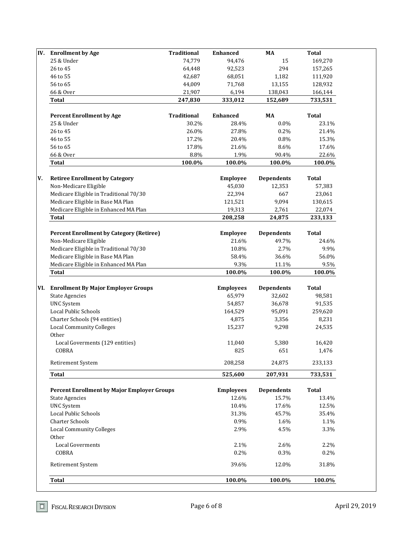| <b>Enrollment by Age</b>                           | <b>Traditional</b> | <b>Enhanced</b>  | MA                | <b>Total</b> |
|----------------------------------------------------|--------------------|------------------|-------------------|--------------|
| 25 & Under                                         | 74,779             | 94,476           | 15                | 169,270      |
| 26 to 45                                           | 64,448             | 92,523           | 294               | 157,265      |
| 46 to 55                                           | 42,687             | 68,051           | 1,182             | 111,920      |
| 56 to 65                                           | 44,009             | 71,768           | 13,155            | 128,932      |
| 66 & Over                                          | 21,907             | 6,194            | 138,043           | 166,144      |
| <b>Total</b>                                       | 247,830            | 333,012          | 152,689           | 733,531      |
| <b>Percent Enrollment by Age</b>                   | <b>Traditional</b> | <b>Enhanced</b>  | MA                | <b>Total</b> |
| 25 & Under                                         | 30.2%              | 28.4%            | 0.0%              | 23.1%        |
| 26 to 45                                           | 26.0%              | 27.8%            | 0.2%              | 21.4%        |
| 46 to 55                                           | 17.2%              | 20.4%            | 0.8%              | 15.3%        |
| 56 to 65                                           | 17.8%              | 21.6%            | 8.6%              | 17.6%        |
| 66 & Over                                          | 8.8%               | 1.9%             | 90.4%             | 22.6%        |
| <b>Total</b>                                       | 100.0%             | 100.0%           | 100.0%            | 100.0%       |
|                                                    |                    |                  |                   |              |
| <b>Retiree Enrollment by Category</b>              |                    | <b>Employee</b>  | <b>Dependents</b> | <b>Total</b> |
| Non-Medicare Eligible                              |                    | 45,030           | 12,353            | 57,383       |
| Medicare Eligible in Traditional 70/30             |                    | 22,394           | 667               | 23,061       |
| Medicare Eligible in Base MA Plan                  |                    | 121,521          | 9,094             | 130,615      |
| Medicare Eligible in Enhanced MA Plan              |                    | 19,313           | 2,761             | 22,074       |
| <b>Total</b>                                       |                    | 208,258          | 24,875            | 233,133      |
| <b>Percent Enrollment by Category (Retiree)</b>    |                    | Employee         | <b>Dependents</b> | <b>Total</b> |
| Non-Medicare Eligible                              |                    | 21.6%            | 49.7%             | 24.6%        |
| Medicare Eligible in Traditional 70/30             |                    | 10.8%            | 2.7%              | 9.9%         |
| Medicare Eligible in Base MA Plan                  |                    | 58.4%            | 36.6%             | 56.0%        |
| Medicare Eligible in Enhanced MA Plan              |                    | 9.3%             | 11.1%             | 9.5%         |
| <b>Total</b>                                       |                    | 100.0%           | 100.0%            | 100.0%       |
| VI. Enrollment By Major Employer Groups            |                    | <b>Employees</b> | <b>Dependents</b> | <b>Total</b> |
| <b>State Agencies</b>                              |                    | 65,979           | 32,602            | 98,581       |
| <b>UNC</b> System                                  |                    | 54,857           | 36,678            | 91,535       |
| Local Public Schools                               |                    | 164,529          | 95,091            | 259,620      |
| Charter Schools (94 entities)                      |                    | 4,875            | 3,356             | 8,231        |
| <b>Local Community Colleges</b>                    |                    | 15,237           | 9,298             | 24,535       |
| Other                                              |                    |                  |                   |              |
| Local Goverments (129 entities)                    |                    | 11,040           | 5,380             | 16,420       |
| COBRA                                              |                    | 825              | 651               | 1,476        |
| Retirement System                                  |                    | 208,258          | 24,875            | 233,133      |
| <b>Total</b>                                       |                    | 525,600          | 207,931           | 733,531      |
|                                                    |                    |                  |                   |              |
| <b>Percent Enrollment by Major Employer Groups</b> |                    | <b>Employees</b> | <b>Dependents</b> | <b>Total</b> |
| <b>State Agencies</b>                              |                    | 12.6%            | 15.7%             | 13.4%        |
| <b>UNC</b> System                                  |                    | 10.4%            | 17.6%             | 12.5%        |
| Local Public Schools                               |                    | 31.3%            | 45.7%             | 35.4%        |
| <b>Charter Schools</b>                             |                    | 0.9%             | 1.6%              | 1.1%         |
| <b>Local Community Colleges</b>                    |                    | 2.9%             | 4.5%              | 3.3%         |
| Other                                              |                    |                  |                   |              |
|                                                    |                    |                  | 2.6%              | 2.2%         |
| <b>Local Goverments</b>                            |                    | 2.1%             |                   |              |
| COBRA                                              |                    | 0.2%             | 0.3%              | 0.2%         |
| Retirement System                                  |                    | 39.6%            | 12.0%             | 31.8%        |

 $\boxed{\square}$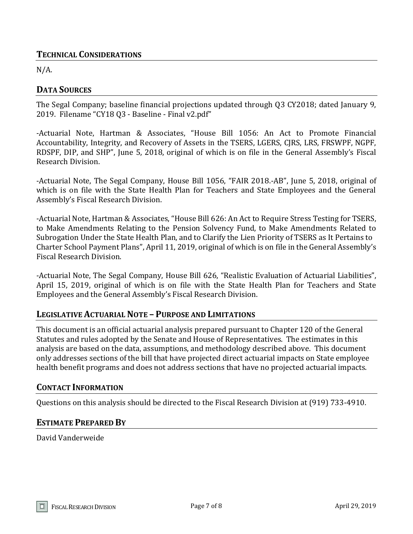## **TECHNICAL CONSIDERATIONS**

 $N/A$ .

## **DATA SOURCES**

The Segal Company; baseline financial projections updated through Q3 CY2018; dated January 9, 2019. Filename "CY18 Q3 - Baseline - Final v2.pdf"

-Actuarial Note, Hartman & Associates, "House Bill 1056: An Act to Promote Financial Accountability, Integrity, and Recovery of Assets in the TSERS, LGERS, CJRS, LRS, FRSWPF, NGPF, RDSPF, DIP, and SHP", June 5, 2018, original of which is on file in the General Assembly's Fiscal Research Division.

-Actuarial Note, The Segal Company, House Bill 1056, "FAIR 2018.-AB", June 5, 2018, original of which is on file with the State Health Plan for Teachers and State Employees and the General Assembly's Fiscal Research Division.

-Actuarial Note, Hartman & Associates, "House Bill 626: An Act to Require Stress Testing for TSERS, to Make Amendments Relating to the Pension Solvency Fund, to Make Amendments Related to Subrogation Under the State Health Plan, and to Clarify the Lien Priority of TSERS as It Pertains to Charter School Payment Plans", April 11, 2019, original of which is on file in the General Assembly's Fiscal Research Division.

-Actuarial Note, The Segal Company, House Bill 626, "Realistic Evaluation of Actuarial Liabilities", April 15, 2019, original of which is on file with the State Health Plan for Teachers and State Employees and the General Assembly's Fiscal Research Division.

## **LEGISLATIVE ACTUARIAL NOTE – PURPOSE AND LIMITATIONS**

This document is an official actuarial analysis prepared pursuant to Chapter 120 of the General Statutes and rules adopted by the Senate and House of Representatives. The estimates in this analysis are based on the data, assumptions, and methodology described above. This document only addresses sections of the bill that have projected direct actuarial impacts on State employee health benefit programs and does not address sections that have no projected actuarial impacts.

## **CONTACT INFORMATION**

Questions on this analysis should be directed to the Fiscal Research Division at (919) 733-4910.

## **ESTIMATE PREPARED BY**

David Vanderweide